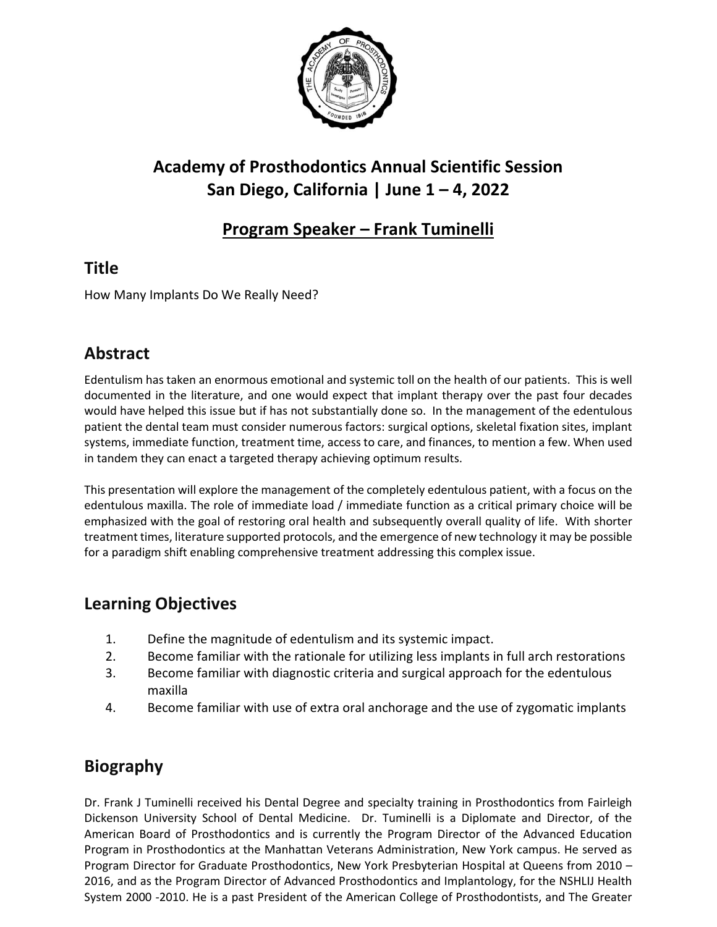

# **Academy of Prosthodontics Annual Scientific Session San Diego, California | June 1 – 4, 2022**

#### **Program Speaker – Frank Tuminelli**

## **Title**

How Many Implants Do We Really Need?

## **Abstract**

Edentulism has taken an enormous emotional and systemic toll on the health of our patients. This is well documented in the literature, and one would expect that implant therapy over the past four decades would have helped this issue but if has not substantially done so. In the management of the edentulous patient the dental team must consider numerous factors: surgical options, skeletal fixation sites, implant systems, immediate function, treatment time, access to care, and finances, to mention a few. When used in tandem they can enact a targeted therapy achieving optimum results.

This presentation will explore the management of the completely edentulous patient, with a focus on the edentulous maxilla. The role of immediate load / immediate function as a critical primary choice will be emphasized with the goal of restoring oral health and subsequently overall quality of life. With shorter treatment times, literature supported protocols, and the emergence of new technology it may be possible for a paradigm shift enabling comprehensive treatment addressing this complex issue.

#### **Learning Objectives**

- 1. Define the magnitude of edentulism and its systemic impact.
- 2. Become familiar with the rationale for utilizing less implants in full arch restorations
- 3. Become familiar with diagnostic criteria and surgical approach for the edentulous maxilla
- 4. Become familiar with use of extra oral anchorage and the use of zygomatic implants

## **Biography**

Dr. Frank J Tuminelli received his Dental Degree and specialty training in Prosthodontics from Fairleigh Dickenson University School of Dental Medicine. Dr. Tuminelli is a Diplomate and Director, of the American Board of Prosthodontics and is currently the Program Director of the Advanced Education Program in Prosthodontics at the Manhattan Veterans Administration, New York campus. He served as Program Director for Graduate Prosthodontics, New York Presbyterian Hospital at Queens from 2010 – 2016, and as the Program Director of Advanced Prosthodontics and Implantology, for the NSHLIJ Health System 2000 -2010. He is a past President of the American College of Prosthodontists, and The Greater